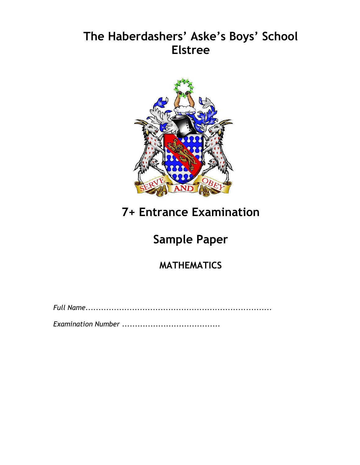### **The Haberdashers' Aske's Boys' School Elstree**



# **7+ Entrance Examination**

# **Sample Paper**

**MATHEMATICS**

*Full Name*........................................................................

*Examination Number* ......................................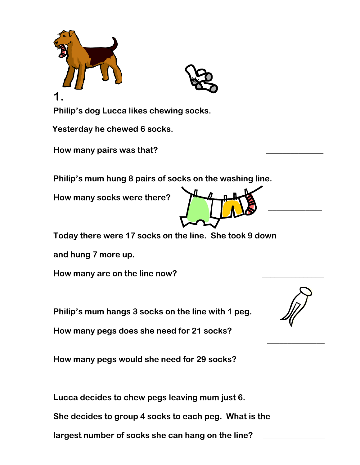

**Yesterday he chewed 6 socks.**

**How many pairs was that? \_\_\_\_\_\_\_\_\_\_\_\_\_\_**

**Philip's mum hung 8 pairs of socks on the washing line.**

**How many socks were there?**



**Today there were 17 socks on the line. She took 9 down**

**and hung 7 more up.** 

**How many are on the line now? \_\_\_\_\_\_\_\_\_\_\_\_\_\_\_**

**Philip's mum hangs 3 socks on the line with 1 peg.**

**How many pegs does she need for 21 socks?** 

**How many pegs would she need for 29 socks? \_\_\_\_\_\_\_\_\_\_\_\_\_\_**

**Lucca decides to chew pegs leaving mum just 6.**

**She decides to group 4 socks to each peg. What is the**

**largest number of socks she can hang on the line? \_\_\_\_\_\_\_\_\_\_\_\_\_\_\_**



**\_\_\_\_\_\_\_\_\_\_\_\_\_\_**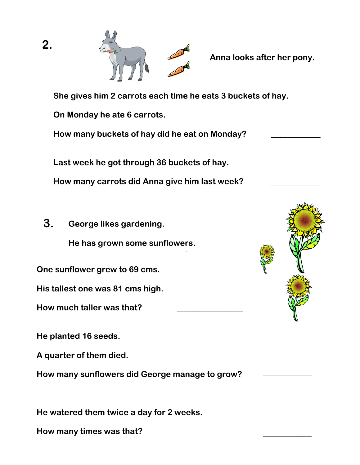

**Anna looks after her pony.** 

**She gives him 2 carrots each time he eats 3 buckets of hay.**

**On Monday he ate 6 carrots.**

**How many buckets of hay did he eat on Monday? \_\_\_\_\_\_\_\_\_\_\_\_**

**Last week he got through 36 buckets of hay.**

**How many carrots did Anna give him last week? \_\_\_\_\_\_\_\_\_\_\_\_** 

 **3. George likes gardening.**

**He has grown some sunflowers.** 

**One sunflower grew to 69 cms.**

**His tallest one was 81 cms high.**

**How much taller was that? \_\_\_\_\_\_\_\_\_\_\_\_\_\_\_\_**

**He planted 16 seeds.**

**A quarter of them died.**

**How many sunflowers did George manage to grow?** 

**He watered them twice a day for 2 weeks.**

**How many times was that?** \_\_\_\_\_\_\_\_\_\_\_\_\_\_\_\_



\_\_\_\_\_\_\_\_\_\_\_\_\_\_\_\_

**2.**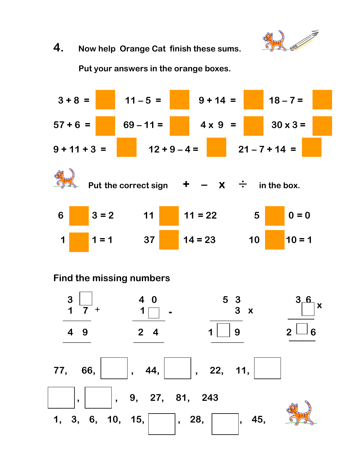

#### **4. Now help Orange Cat finish these sums.**

 **Put your answers in the orange boxes.**

$$
3 + 8 =
$$
  
\n
$$
11 - 5 =
$$
  
\n
$$
69 - 11 =
$$
  
\n
$$
4 \times 9 =
$$
  
\n
$$
30 \times 3 =
$$
  
\n
$$
9 + 11 + 3 =
$$
  
\n
$$
12 + 9 - 4 =
$$
  
\n
$$
21 - 7 + 14 =
$$
  
\n
$$
21 - 7 + 14 =
$$
  
\n
$$
30 \times 3 =
$$
  
\n
$$
21 - 7 + 14 =
$$
  
\n
$$
30 \times 3 =
$$
  
\n
$$
21 - 7 + 14 =
$$
  
\n
$$
30 \times 3 =
$$
  
\n
$$
21 - 7 + 14 =
$$
  
\n
$$
30 \times 3 =
$$
  
\n
$$
21 - 7 + 14 =
$$
  
\n
$$
30 \times 3 =
$$
  
\n
$$
21 - 7 + 14 =
$$
  
\n
$$
30 \times 3 =
$$
  
\n
$$
21 - 7 + 14 =
$$
  
\n
$$
30 \times 3 =
$$
  
\n
$$
21 - 7 + 14 =
$$
  
\n
$$
30 \times 3 =
$$
  
\n
$$
30 \times 3 =
$$
  
\n
$$
30 \times 3 =
$$
  
\n
$$
30 \times 3 =
$$
  
\n
$$
30 \times 3 =
$$
  
\n
$$
30 \times 3 =
$$
  
\n
$$
30 \times 3 =
$$
  
\n
$$
30 \times 3 =
$$
  
\n
$$
30 \times 3 =
$$
  
\n
$$
30 \times 3 =
$$
  
\n
$$
30 \times 3 =
$$
  
\n
$$
30 \times 3 =
$$
  
\n
$$
30 \times 3 =
$$
  
\n
$$
30 \times 3 =
$$
  
\n
$$
30 \times 3 =
$$
  
\n
$$
30 \times 3 =
$$
<

#### **Find the missing numbers**

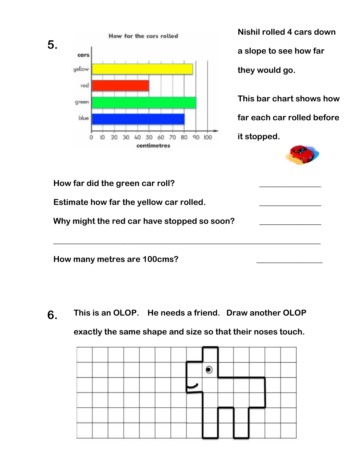

**Nishil rolled 4 cars down a slope to see how far they would go. This bar chart shows how far each car rolled before**

**it stopped.** 



| How far did the green car roll?             |  |
|---------------------------------------------|--|
| Estimate how far the yellow car rolled.     |  |
| Why might the red car have stopped so soon? |  |
| How many metres are 100cms?                 |  |

**This is an OLOP. He needs a friend. Draw another OLOP exactly the same shape and size so that their noses touch. 6.**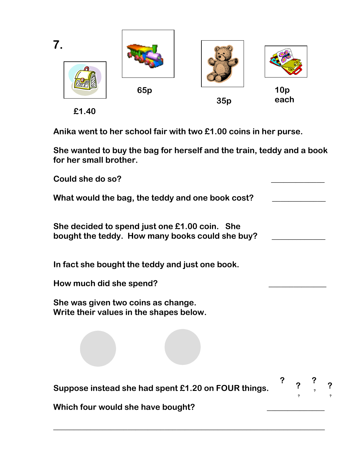

**£1.40**

**Anika went to her school fair with two £1.00 coins in her purse.** 

**She wanted to buy the bag for herself and the train, teddy and a book for her small brother.**

| Could she do so?                                                                                 |                     |  |
|--------------------------------------------------------------------------------------------------|---------------------|--|
| What would the bag, the teddy and one book cost?                                                 |                     |  |
| She decided to spend just one £1.00 coin. She<br>bought the teddy. How many books could she buy? |                     |  |
| In fact she bought the teddy and just one book.                                                  |                     |  |
| How much did she spend?                                                                          |                     |  |
| She was given two coins as change.<br>Write their values in the shapes below.                    |                     |  |
|                                                                                                  |                     |  |
| Suppose instead she had spent £1.20 on FOUR things.                                              | $\ddot{\textbf{?}}$ |  |
| Which four would she have bought?                                                                |                     |  |

**\_\_\_\_\_\_\_\_\_\_\_\_\_\_\_\_\_\_\_\_\_\_\_\_\_\_\_\_\_\_\_\_\_\_\_\_\_\_\_\_\_\_\_\_\_\_\_\_\_\_\_\_\_\_\_\_\_\_\_\_\_\_\_\_\_\_**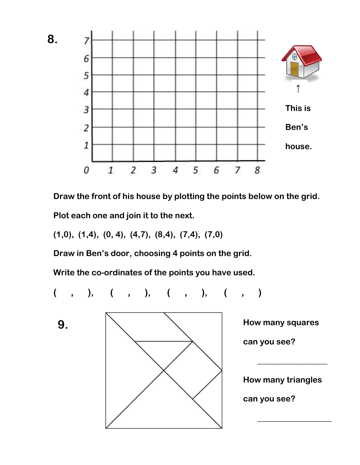

**Draw the front of his house by plotting the points below on the grid. Plot each one and join it to the next.**

**(1,0), (1,4), (0, 4), (4,7), (8,4), (7,4), (7,0)**

**Draw in Ben's door, choosing 4 points on the grid.**

**Write the co-ordinates of the points you have used.**

**( , ), ( , ), ( , ), ( , )**

**9.**

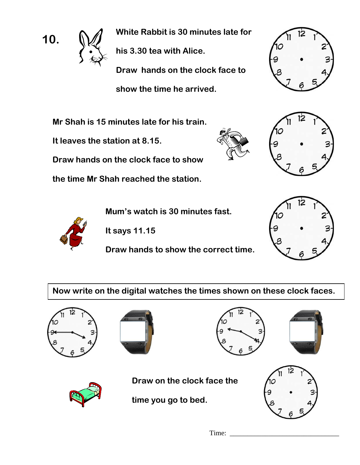

**White Rabbit is 30 minutes late for his 3.30 tea with Alice. Draw hands on the clock face to show the time he arrived.** 

**Mr Shah is 15 minutes late for his train.** 

**It leaves the station at 8.15.**





**Draw hands on the clock face to show** 

**the time Mr Shah reached the station.**

**Mum's watch is 30 minutes fast.**

**It says 11.15** 

**Draw hands to show the correct time.**



**Now write on the digital watches the times shown on these clock faces.**









**Draw on the clock face the**

**time you go to bed.**